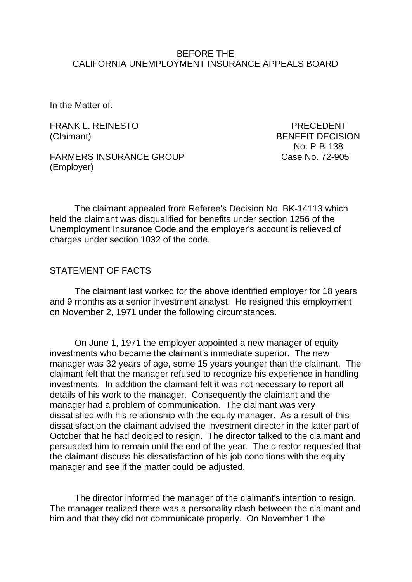#### BEFORE THE CALIFORNIA UNEMPLOYMENT INSURANCE APPEALS BOARD

In the Matter of:

FRANK L. REINESTO PRECEDENT (Claimant) BENEFIT DECISION

No. P-B-138

FARMERS INSURANCE GROUP Case No. 72-905 (Employer)

The claimant appealed from Referee's Decision No. BK-14113 which held the claimant was disqualified for benefits under section 1256 of the Unemployment Insurance Code and the employer's account is relieved of charges under section 1032 of the code.

### STATEMENT OF FACTS

The claimant last worked for the above identified employer for 18 years and 9 months as a senior investment analyst. He resigned this employment on November 2, 1971 under the following circumstances.

On June 1, 1971 the employer appointed a new manager of equity investments who became the claimant's immediate superior. The new manager was 32 years of age, some 15 years younger than the claimant. The claimant felt that the manager refused to recognize his experience in handling investments. In addition the claimant felt it was not necessary to report all details of his work to the manager. Consequently the claimant and the manager had a problem of communication. The claimant was very dissatisfied with his relationship with the equity manager. As a result of this dissatisfaction the claimant advised the investment director in the latter part of October that he had decided to resign. The director talked to the claimant and persuaded him to remain until the end of the year. The director requested that the claimant discuss his dissatisfaction of his job conditions with the equity manager and see if the matter could be adjusted.

The director informed the manager of the claimant's intention to resign. The manager realized there was a personality clash between the claimant and him and that they did not communicate properly. On November 1 the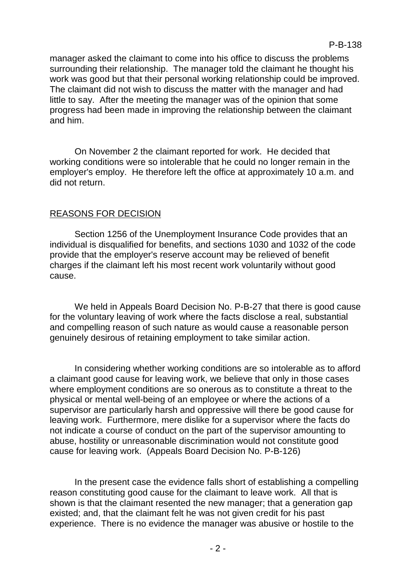manager asked the claimant to come into his office to discuss the problems surrounding their relationship. The manager told the claimant he thought his work was good but that their personal working relationship could be improved. The claimant did not wish to discuss the matter with the manager and had little to say. After the meeting the manager was of the opinion that some progress had been made in improving the relationship between the claimant and him.

On November 2 the claimant reported for work. He decided that working conditions were so intolerable that he could no longer remain in the employer's employ. He therefore left the office at approximately 10 a.m. and did not return.

# REASONS FOR DECISION

Section 1256 of the Unemployment Insurance Code provides that an individual is disqualified for benefits, and sections 1030 and 1032 of the code provide that the employer's reserve account may be relieved of benefit charges if the claimant left his most recent work voluntarily without good cause.

We held in Appeals Board Decision No. P-B-27 that there is good cause for the voluntary leaving of work where the facts disclose a real, substantial and compelling reason of such nature as would cause a reasonable person genuinely desirous of retaining employment to take similar action.

In considering whether working conditions are so intolerable as to afford a claimant good cause for leaving work, we believe that only in those cases where employment conditions are so onerous as to constitute a threat to the physical or mental well-being of an employee or where the actions of a supervisor are particularly harsh and oppressive will there be good cause for leaving work. Furthermore, mere dislike for a supervisor where the facts do not indicate a course of conduct on the part of the supervisor amounting to abuse, hostility or unreasonable discrimination would not constitute good cause for leaving work. (Appeals Board Decision No. P-B-126)

In the present case the evidence falls short of establishing a compelling reason constituting good cause for the claimant to leave work. All that is shown is that the claimant resented the new manager; that a generation gap existed; and, that the claimant felt he was not given credit for his past experience. There is no evidence the manager was abusive or hostile to the